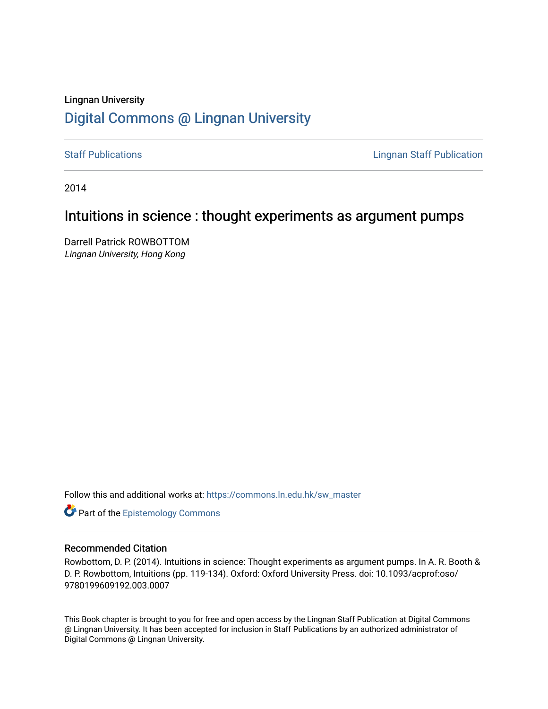# Lingnan University [Digital Commons @ Lingnan University](https://commons.ln.edu.hk/)

[Staff Publications](https://commons.ln.edu.hk/sw_master) **Staff Publications Lingnan Staff Publication** 

2014

# Intuitions in science : thought experiments as argument pumps

Darrell Patrick ROWBOTTOM Lingnan University, Hong Kong

Follow this and additional works at: [https://commons.ln.edu.hk/sw\\_master](https://commons.ln.edu.hk/sw_master?utm_source=commons.ln.edu.hk%2Fsw_master%2F2258&utm_medium=PDF&utm_campaign=PDFCoverPages) 

**Part of the [Epistemology Commons](http://network.bepress.com/hgg/discipline/527?utm_source=commons.ln.edu.hk%2Fsw_master%2F2258&utm_medium=PDF&utm_campaign=PDFCoverPages)** 

#### Recommended Citation

Rowbottom, D. P. (2014). Intuitions in science: Thought experiments as argument pumps. In A. R. Booth & D. P. Rowbottom, Intuitions (pp. 119-134). Oxford: Oxford University Press. doi: 10.1093/acprof:oso/ 9780199609192.003.0007

This Book chapter is brought to you for free and open access by the Lingnan Staff Publication at Digital Commons @ Lingnan University. It has been accepted for inclusion in Staff Publications by an authorized administrator of Digital Commons @ Lingnan University.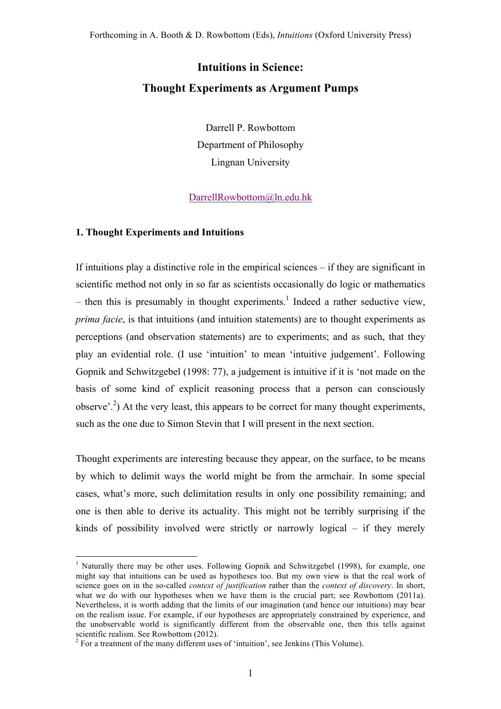# **Intuitions in Science: Thought Experiments as Argument Pumps**

Darrell P. Rowbottom Department of Philosophy Lingnan University

#### DarrellRowbottom@ln.edu.hk

#### **1. Thought Experiments and Intuitions**

If intuitions play a distinctive role in the empirical sciences – if they are significant in scientific method not only in so far as scientists occasionally do logic or mathematics  $-$  then this is presumably in thought experiments.<sup>1</sup> Indeed a rather seductive view, *prima facie*, is that intuitions (and intuition statements) are to thought experiments as perceptions (and observation statements) are to experiments; and as such, that they play an evidential role. (I use 'intuition' to mean 'intuitive judgement'. Following Gopnik and Schwitzgebel (1998: 77), a judgement is intuitive if it is 'not made on the basis of some kind of explicit reasoning process that a person can consciously observe'.<sup>2</sup>) At the very least, this appears to be correct for many thought experiments, such as the one due to Simon Stevin that I will present in the next section.

Thought experiments are interesting because they appear, on the surface, to be means by which to delimit ways the world might be from the armchair. In some special cases, what's more, such delimitation results in only one possibility remaining; and one is then able to derive its actuality. This might not be terribly surprising if the kinds of possibility involved were strictly or narrowly logical – if they merely

<sup>&</sup>lt;sup>1</sup> Naturally there may be other uses. Following Gopnik and Schwitzgebel (1998), for example, one might say that intuitions can be used as hypotheses too. But my own view is that the real work of science goes on in the so-called *context of justification* rather than the *context of discovery*. In short, what we do with our hypotheses when we have them is the crucial part; see Rowbottom (2011a). Nevertheless, it is worth adding that the limits of our imagination (and hence our intuitions) may bear on the realism issue. For example, if our hypotheses are appropriately constrained by experience, and the unobservable world is significantly different from the observable one, then this tells against scientific realism. See Rowbottom (2012).

<sup>&</sup>lt;sup>2</sup> For a treatment of the many different uses of 'intuition', see Jenkins (This Volume).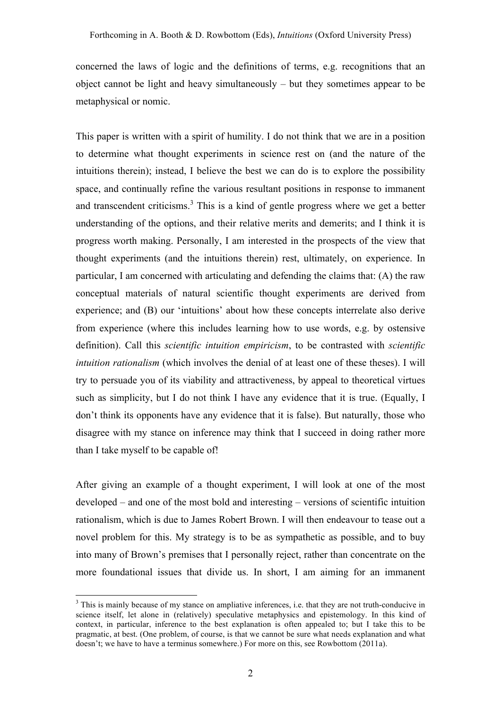concerned the laws of logic and the definitions of terms, e.g. recognitions that an object cannot be light and heavy simultaneously – but they sometimes appear to be metaphysical or nomic.

This paper is written with a spirit of humility. I do not think that we are in a position to determine what thought experiments in science rest on (and the nature of the intuitions therein); instead, I believe the best we can do is to explore the possibility space, and continually refine the various resultant positions in response to immanent and transcendent criticisms.<sup>3</sup> This is a kind of gentle progress where we get a better understanding of the options, and their relative merits and demerits; and I think it is progress worth making. Personally, I am interested in the prospects of the view that thought experiments (and the intuitions therein) rest, ultimately, on experience. In particular, I am concerned with articulating and defending the claims that: (A) the raw conceptual materials of natural scientific thought experiments are derived from experience; and (B) our 'intuitions' about how these concepts interrelate also derive from experience (where this includes learning how to use words, e.g. by ostensive definition). Call this *scientific intuition empiricism*, to be contrasted with *scientific intuition rationalism* (which involves the denial of at least one of these theses). I will try to persuade you of its viability and attractiveness, by appeal to theoretical virtues such as simplicity, but I do not think I have any evidence that it is true. (Equally, I don't think its opponents have any evidence that it is false). But naturally, those who disagree with my stance on inference may think that I succeed in doing rather more than I take myself to be capable of!

After giving an example of a thought experiment, I will look at one of the most developed – and one of the most bold and interesting – versions of scientific intuition rationalism, which is due to James Robert Brown. I will then endeavour to tease out a novel problem for this. My strategy is to be as sympathetic as possible, and to buy into many of Brown's premises that I personally reject, rather than concentrate on the more foundational issues that divide us. In short, I am aiming for an immanent

 $\frac{1}{3}$  This is mainly because of my stance on ampliative inferences, i.e. that they are not truth-conducive in science itself, let alone in (relatively) speculative metaphysics and epistemology. In this kind of context, in particular, inference to the best explanation is often appealed to; but I take this to be pragmatic, at best. (One problem, of course, is that we cannot be sure what needs explanation and what doesn't; we have to have a terminus somewhere.) For more on this, see Rowbottom (2011a).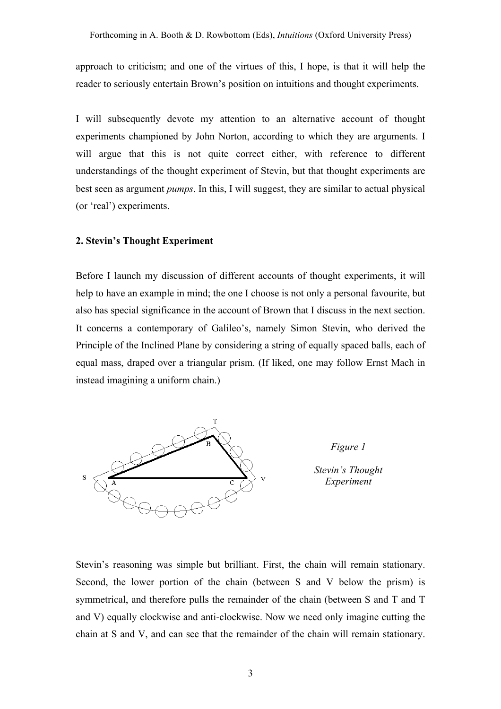approach to criticism; and one of the virtues of this, I hope, is that it will help the reader to seriously entertain Brown's position on intuitions and thought experiments.

I will subsequently devote my attention to an alternative account of thought experiments championed by John Norton, according to which they are arguments. I will argue that this is not quite correct either, with reference to different understandings of the thought experiment of Stevin, but that thought experiments are best seen as argument *pumps*. In this, I will suggest, they are similar to actual physical (or 'real') experiments.

#### **2. Stevin's Thought Experiment**

Before I launch my discussion of different accounts of thought experiments, it will help to have an example in mind; the one I choose is not only a personal favourite, but also has special significance in the account of Brown that I discuss in the next section. It concerns a contemporary of Galileo's, namely Simon Stevin, who derived the Principle of the Inclined Plane by considering a string of equally spaced balls, each of equal mass, draped over a triangular prism. (If liked, one may follow Ernst Mach in instead imagining a uniform chain.)



*Figure 1*

*Stevin's Thought Experiment*

Stevin's reasoning was simple but brilliant. First, the chain will remain stationary. Second, the lower portion of the chain (between S and V below the prism) is symmetrical, and therefore pulls the remainder of the chain (between S and T and T and V) equally clockwise and anti-clockwise. Now we need only imagine cutting the chain at S and V, and can see that the remainder of the chain will remain stationary.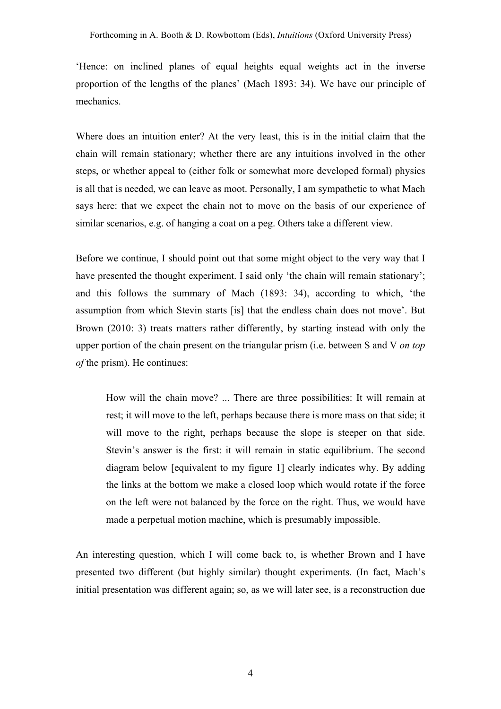'Hence: on inclined planes of equal heights equal weights act in the inverse proportion of the lengths of the planes' (Mach 1893: 34). We have our principle of mechanics.

Where does an intuition enter? At the very least, this is in the initial claim that the chain will remain stationary; whether there are any intuitions involved in the other steps, or whether appeal to (either folk or somewhat more developed formal) physics is all that is needed, we can leave as moot. Personally, I am sympathetic to what Mach says here: that we expect the chain not to move on the basis of our experience of similar scenarios, e.g. of hanging a coat on a peg. Others take a different view.

Before we continue, I should point out that some might object to the very way that I have presented the thought experiment. I said only 'the chain will remain stationary'; and this follows the summary of Mach (1893: 34), according to which, 'the assumption from which Stevin starts [is] that the endless chain does not move'. But Brown (2010: 3) treats matters rather differently, by starting instead with only the upper portion of the chain present on the triangular prism (i.e. between S and V *on top of* the prism). He continues:

How will the chain move? ... There are three possibilities: It will remain at rest; it will move to the left, perhaps because there is more mass on that side; it will move to the right, perhaps because the slope is steeper on that side. Stevin's answer is the first: it will remain in static equilibrium. The second diagram below [equivalent to my figure 1] clearly indicates why. By adding the links at the bottom we make a closed loop which would rotate if the force on the left were not balanced by the force on the right. Thus, we would have made a perpetual motion machine, which is presumably impossible.

An interesting question, which I will come back to, is whether Brown and I have presented two different (but highly similar) thought experiments. (In fact, Mach's initial presentation was different again; so, as we will later see, is a reconstruction due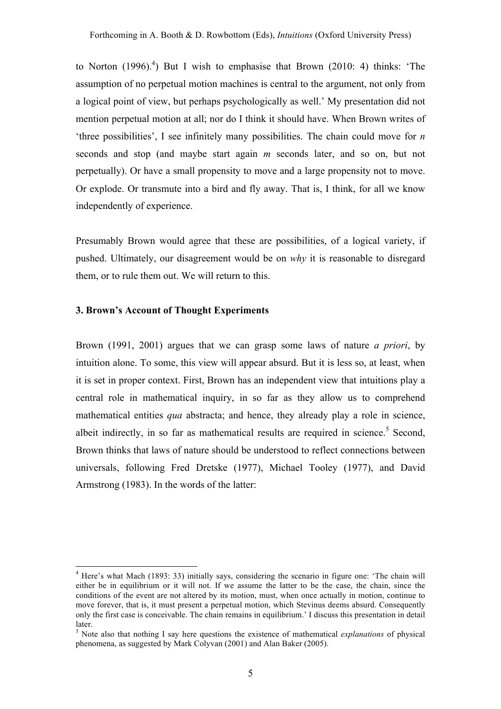to Norton  $(1996)^4$ ) But I wish to emphasise that Brown  $(2010: 4)$  thinks: 'The assumption of no perpetual motion machines is central to the argument, not only from a logical point of view, but perhaps psychologically as well.' My presentation did not mention perpetual motion at all; nor do I think it should have. When Brown writes of 'three possibilities', I see infinitely many possibilities. The chain could move for *n*  seconds and stop (and maybe start again *m* seconds later, and so on, but not perpetually). Or have a small propensity to move and a large propensity not to move. Or explode. Or transmute into a bird and fly away. That is, I think, for all we know independently of experience.

Presumably Brown would agree that these are possibilities, of a logical variety, if pushed. Ultimately, our disagreement would be on *why* it is reasonable to disregard them, or to rule them out. We will return to this.

## **3. Brown's Account of Thought Experiments**

Brown (1991, 2001) argues that we can grasp some laws of nature *a priori*, by intuition alone. To some, this view will appear absurd. But it is less so, at least, when it is set in proper context. First, Brown has an independent view that intuitions play a central role in mathematical inquiry, in so far as they allow us to comprehend mathematical entities *qua* abstracta; and hence, they already play a role in science, albeit indirectly, in so far as mathematical results are required in science.<sup>5</sup> Second, Brown thinks that laws of nature should be understood to reflect connections between universals, following Fred Dretske (1977), Michael Tooley (1977), and David Armstrong (1983). In the words of the latter:

 $\frac{4}{1}$  Here's what Mach (1893: 33) initially says, considering the scenario in figure one: 'The chain will either be in equilibrium or it will not. If we assume the latter to be the case, the chain, since the conditions of the event are not altered by its motion, must, when once actually in motion, continue to move forever, that is, it must present a perpetual motion, which Stevinus deems absurd. Consequently only the first case is conceivable. The chain remains in equilibrium.' I discuss this presentation in detail later.

<sup>5</sup> Note also that nothing I say here questions the existence of mathematical *explanations* of physical phenomena, as suggested by Mark Colyvan (2001) and Alan Baker (2005).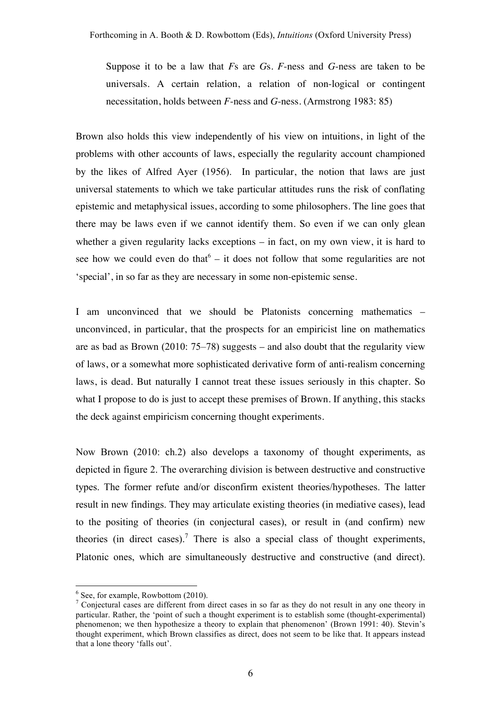Suppose it to be a law that *F*s are *G*s. *F*-ness and *G*-ness are taken to be universals. A certain relation, a relation of non-logical or contingent necessitation, holds between *F*-ness and *G*-ness. (Armstrong 1983: 85)

Brown also holds this view independently of his view on intuitions, in light of the problems with other accounts of laws, especially the regularity account championed by the likes of Alfred Ayer (1956). In particular, the notion that laws are just universal statements to which we take particular attitudes runs the risk of conflating epistemic and metaphysical issues, according to some philosophers. The line goes that there may be laws even if we cannot identify them. So even if we can only glean whether a given regularity lacks exceptions – in fact, on my own view, it is hard to see how we could even do that<sup> $6 - it$ </sup> does not follow that some regularities are not 'special', in so far as they are necessary in some non-epistemic sense.

I am unconvinced that we should be Platonists concerning mathematics – unconvinced, in particular, that the prospects for an empiricist line on mathematics are as bad as Brown (2010: 75–78) suggests – and also doubt that the regularity view of laws, or a somewhat more sophisticated derivative form of anti-realism concerning laws, is dead. But naturally I cannot treat these issues seriously in this chapter. So what I propose to do is just to accept these premises of Brown. If anything, this stacks the deck against empiricism concerning thought experiments.

Now Brown (2010: ch.2) also develops a taxonomy of thought experiments, as depicted in figure 2. The overarching division is between destructive and constructive types. The former refute and/or disconfirm existent theories/hypotheses. The latter result in new findings. They may articulate existing theories (in mediative cases), lead to the positing of theories (in conjectural cases), or result in (and confirm) new theories (in direct cases).<sup>7</sup> There is also a special class of thought experiments, Platonic ones, which are simultaneously destructive and constructive (and direct).

 $\frac{1}{6}$  See, for example, Rowbottom (2010).

<sup>&</sup>lt;sup>7</sup> Conjectural cases are different from direct cases in so far as they do not result in any one theory in particular. Rather, the 'point of such a thought experiment is to establish some (thought-experimental) phenomenon; we then hypothesize a theory to explain that phenomenon' (Brown 1991: 40). Stevin's thought experiment, which Brown classifies as direct, does not seem to be like that. It appears instead that a lone theory 'falls out'.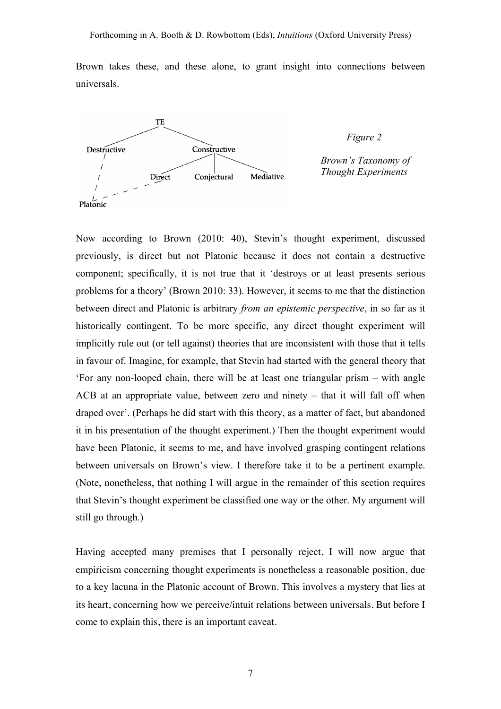TE *Figure 2* Destructive Constructive  *Brown's Taxonomy of Thought Experiments*Direct Conjectural Mediative

Platonic



Now according to Brown (2010: 40), Stevin's thought experiment, discussed previously, is direct but not Platonic because it does not contain a destructive component; specifically, it is not true that it 'destroys or at least presents serious problems for a theory' (Brown 2010: 33). However, it seems to me that the distinction between direct and Platonic is arbitrary *from an epistemic perspective*, in so far as it historically contingent. To be more specific, any direct thought experiment will implicitly rule out (or tell against) theories that are inconsistent with those that it tells in favour of. Imagine, for example, that Stevin had started with the general theory that 'For any non-looped chain, there will be at least one triangular prism – with angle ACB at an appropriate value, between zero and ninety – that it will fall off when draped over'. (Perhaps he did start with this theory, as a matter of fact, but abandoned it in his presentation of the thought experiment.) Then the thought experiment would have been Platonic, it seems to me, and have involved grasping contingent relations between universals on Brown's view. I therefore take it to be a pertinent example. (Note, nonetheless, that nothing I will argue in the remainder of this section requires that Stevin's thought experiment be classified one way or the other. My argument will still go through.)

Having accepted many premises that I personally reject, I will now argue that empiricism concerning thought experiments is nonetheless a reasonable position, due to a key lacuna in the Platonic account of Brown. This involves a mystery that lies at its heart, concerning how we perceive/intuit relations between universals. But before I come to explain this, there is an important caveat.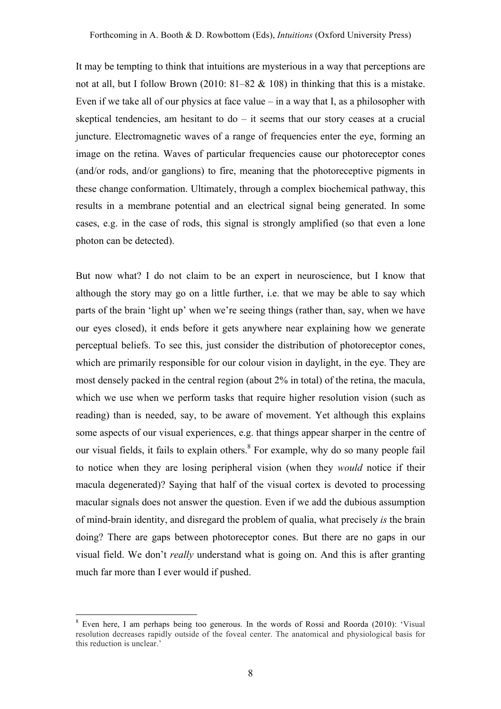It may be tempting to think that intuitions are mysterious in a way that perceptions are not at all, but I follow Brown (2010: 81–82 & 108) in thinking that this is a mistake. Even if we take all of our physics at face value – in a way that I, as a philosopher with skeptical tendencies, am hesitant to  $do - it$  seems that our story ceases at a crucial juncture. Electromagnetic waves of a range of frequencies enter the eye, forming an image on the retina. Waves of particular frequencies cause our photoreceptor cones (and/or rods, and/or ganglions) to fire, meaning that the photoreceptive pigments in these change conformation. Ultimately, through a complex biochemical pathway, this results in a membrane potential and an electrical signal being generated. In some cases, e.g. in the case of rods, this signal is strongly amplified (so that even a lone photon can be detected).

But now what? I do not claim to be an expert in neuroscience, but I know that although the story may go on a little further, i.e. that we may be able to say which parts of the brain 'light up' when we're seeing things (rather than, say, when we have our eyes closed), it ends before it gets anywhere near explaining how we generate perceptual beliefs. To see this, just consider the distribution of photoreceptor cones, which are primarily responsible for our colour vision in daylight, in the eye. They are most densely packed in the central region (about 2% in total) of the retina, the macula, which we use when we perform tasks that require higher resolution vision (such as reading) than is needed, say, to be aware of movement. Yet although this explains some aspects of our visual experiences, e.g. that things appear sharper in the centre of our visual fields, it fails to explain others. $8$  For example, why do so many people fail to notice when they are losing peripheral vision (when they *would* notice if their macula degenerated)? Saying that half of the visual cortex is devoted to processing macular signals does not answer the question. Even if we add the dubious assumption of mind-brain identity, and disregard the problem of qualia, what precisely *is* the brain doing? There are gaps between photoreceptor cones. But there are no gaps in our visual field. We don't *really* understand what is going on. And this is after granting much far more than I ever would if pushed.

 $\overline{a}$  Even here, I am perhaps being too generous. In the words of Rossi and Roorda (2010): 'Visual resolution decreases rapidly outside of the foveal center. The anatomical and physiological basis for this reduction is unclear.'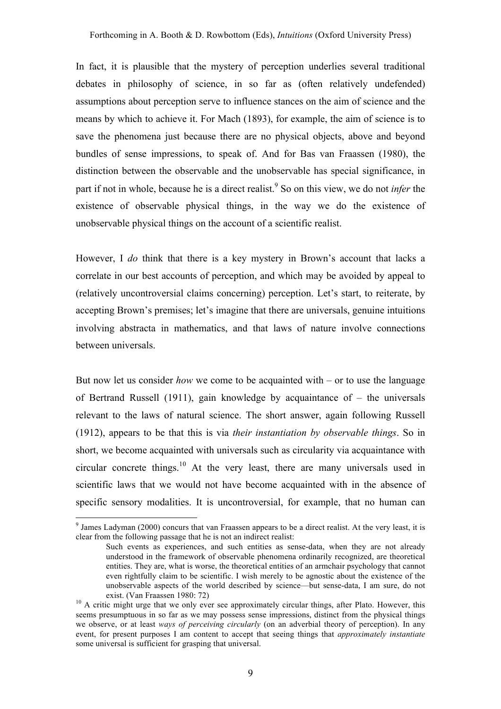In fact, it is plausible that the mystery of perception underlies several traditional debates in philosophy of science, in so far as (often relatively undefended) assumptions about perception serve to influence stances on the aim of science and the means by which to achieve it. For Mach (1893), for example, the aim of science is to save the phenomena just because there are no physical objects, above and beyond bundles of sense impressions, to speak of. And for Bas van Fraassen (1980), the distinction between the observable and the unobservable has special significance, in part if not in whole, because he is a direct realist.<sup>9</sup> So on this view, we do not *infer* the existence of observable physical things, in the way we do the existence of unobservable physical things on the account of a scientific realist.

However, I *do* think that there is a key mystery in Brown's account that lacks a correlate in our best accounts of perception, and which may be avoided by appeal to (relatively uncontroversial claims concerning) perception. Let's start, to reiterate, by accepting Brown's premises; let's imagine that there are universals, genuine intuitions involving abstracta in mathematics, and that laws of nature involve connections between universals.

But now let us consider *how* we come to be acquainted with – or to use the language of Bertrand Russell (1911), gain knowledge by acquaintance of – the universals relevant to the laws of natural science. The short answer, again following Russell (1912), appears to be that this is via *their instantiation by observable things*. So in short, we become acquainted with universals such as circularity via acquaintance with circular concrete things.<sup>10</sup> At the very least, there are many universals used in scientific laws that we would not have become acquainted with in the absence of specific sensory modalities. It is uncontroversial, for example, that no human can

 $9$  James Ladyman (2000) concurs that van Fraassen appears to be a direct realist. At the very least, it is clear from the following passage that he is not an indirect realist:

Such events as experiences, and such entities as sense-data, when they are not already understood in the framework of observable phenomena ordinarily recognized, are theoretical entities. They are, what is worse, the theoretical entities of an armchair psychology that cannot even rightfully claim to be scientific. I wish merely to be agnostic about the existence of the unobservable aspects of the world described by science—but sense-data, I am sure, do not exist. (Van Fraassen 1980: 72)<br><sup>10</sup> A critic might urge that we only ever see approximately circular things, after Plato. However, this

seems presumptuous in so far as we may possess sense impressions, distinct from the physical things we observe, or at least *ways of perceiving circularly* (on an adverbial theory of perception). In any event, for present purposes I am content to accept that seeing things that *approximately instantiate*  some universal is sufficient for grasping that universal.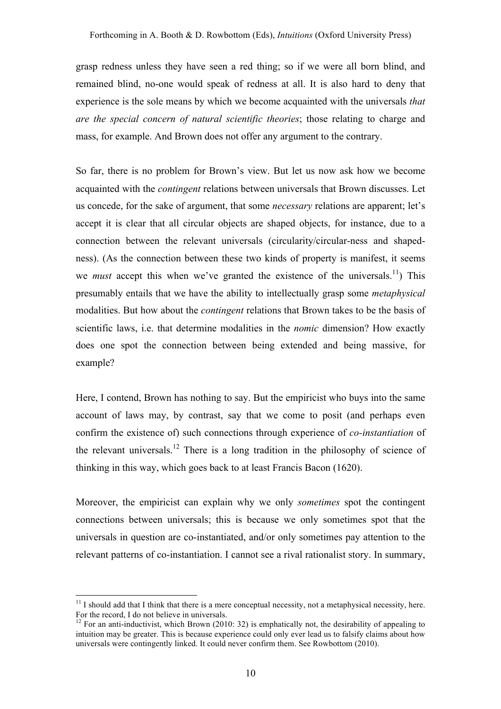grasp redness unless they have seen a red thing; so if we were all born blind, and remained blind, no-one would speak of redness at all. It is also hard to deny that experience is the sole means by which we become acquainted with the universals *that are the special concern of natural scientific theories*; those relating to charge and mass, for example. And Brown does not offer any argument to the contrary.

So far, there is no problem for Brown's view. But let us now ask how we become acquainted with the *contingent* relations between universals that Brown discusses. Let us concede, for the sake of argument, that some *necessary* relations are apparent; let's accept it is clear that all circular objects are shaped objects, for instance, due to a connection between the relevant universals (circularity/circular-ness and shapedness). (As the connection between these two kinds of property is manifest, it seems we *must* accept this when we've granted the existence of the universals.<sup>11</sup>) This presumably entails that we have the ability to intellectually grasp some *metaphysical*  modalities. But how about the *contingent* relations that Brown takes to be the basis of scientific laws, i.e. that determine modalities in the *nomic* dimension? How exactly does one spot the connection between being extended and being massive, for example?

Here, I contend, Brown has nothing to say. But the empiricist who buys into the same account of laws may, by contrast, say that we come to posit (and perhaps even confirm the existence of) such connections through experience of *co-instantiation* of the relevant universals.<sup>12</sup> There is a long tradition in the philosophy of science of thinking in this way, which goes back to at least Francis Bacon (1620).

Moreover, the empiricist can explain why we only *sometimes* spot the contingent connections between universals; this is because we only sometimes spot that the universals in question are co-instantiated, and/or only sometimes pay attention to the relevant patterns of co-instantiation. I cannot see a rival rationalist story. In summary,

 $11$  I should add that I think that there is a mere conceptual necessity, not a metaphysical necessity, here. For the record, I do not believe in universals.

<sup>&</sup>lt;sup>12</sup> For an anti-inductivist, which Brown (2010: 32) is emphatically not, the desirability of appealing to intuition may be greater. This is because experience could only ever lead us to falsify claims about how universals were contingently linked. It could never confirm them. See Rowbottom (2010).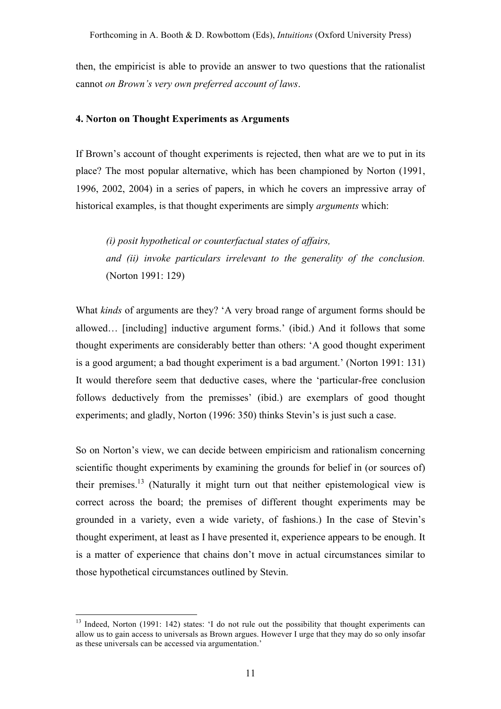then, the empiricist is able to provide an answer to two questions that the rationalist cannot *on Brown's very own preferred account of laws*.

## **4. Norton on Thought Experiments as Arguments**

If Brown's account of thought experiments is rejected, then what are we to put in its place? The most popular alternative, which has been championed by Norton (1991, 1996, 2002, 2004) in a series of papers, in which he covers an impressive array of historical examples, is that thought experiments are simply *arguments* which:

*(i) posit hypothetical or counterfactual states of affairs, and (ii) invoke particulars irrelevant to the generality of the conclusion.* (Norton 1991: 129)

What *kinds* of arguments are they? 'A very broad range of argument forms should be allowed… [including] inductive argument forms.' (ibid.) And it follows that some thought experiments are considerably better than others: 'A good thought experiment is a good argument; a bad thought experiment is a bad argument.' (Norton 1991: 131) It would therefore seem that deductive cases, where the 'particular-free conclusion follows deductively from the premisses' (ibid.) are exemplars of good thought experiments; and gladly, Norton (1996: 350) thinks Stevin's is just such a case.

So on Norton's view, we can decide between empiricism and rationalism concerning scientific thought experiments by examining the grounds for belief in (or sources of) their premises.<sup>13</sup> (Naturally it might turn out that neither epistemological view is correct across the board; the premises of different thought experiments may be grounded in a variety, even a wide variety, of fashions.) In the case of Stevin's thought experiment, at least as I have presented it, experience appears to be enough. It is a matter of experience that chains don't move in actual circumstances similar to those hypothetical circumstances outlined by Stevin.

<sup>&</sup>lt;sup>13</sup> Indeed, Norton (1991: 142) states: 'I do not rule out the possibility that thought experiments can allow us to gain access to universals as Brown argues. However I urge that they may do so only insofar as these universals can be accessed via argumentation.'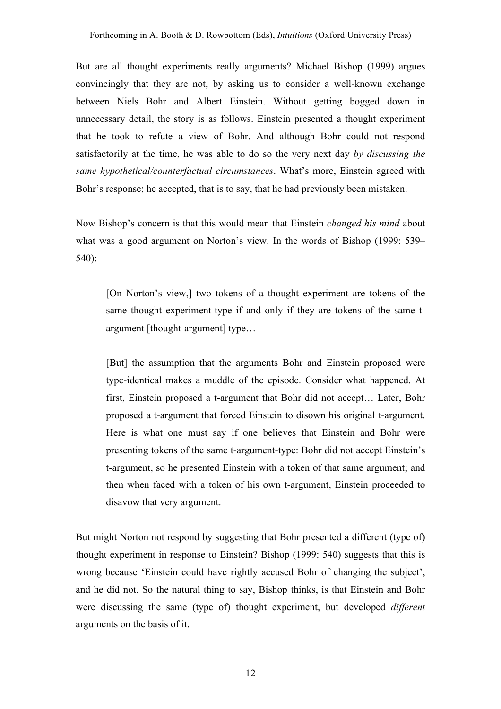But are all thought experiments really arguments? Michael Bishop (1999) argues convincingly that they are not, by asking us to consider a well-known exchange between Niels Bohr and Albert Einstein. Without getting bogged down in unnecessary detail, the story is as follows. Einstein presented a thought experiment that he took to refute a view of Bohr. And although Bohr could not respond satisfactorily at the time, he was able to do so the very next day *by discussing the same hypothetical/counterfactual circumstances*. What's more, Einstein agreed with Bohr's response; he accepted, that is to say, that he had previously been mistaken.

Now Bishop's concern is that this would mean that Einstein *changed his mind* about what was a good argument on Norton's view. In the words of Bishop (1999: 539– 540):

[On Norton's view,] two tokens of a thought experiment are tokens of the same thought experiment-type if and only if they are tokens of the same targument [thought-argument] type…

[But] the assumption that the arguments Bohr and Einstein proposed were type-identical makes a muddle of the episode. Consider what happened. At first, Einstein proposed a t-argument that Bohr did not accept… Later, Bohr proposed a t-argument that forced Einstein to disown his original t-argument. Here is what one must say if one believes that Einstein and Bohr were presenting tokens of the same t-argument-type: Bohr did not accept Einstein's t-argument, so he presented Einstein with a token of that same argument; and then when faced with a token of his own t-argument, Einstein proceeded to disavow that very argument.

But might Norton not respond by suggesting that Bohr presented a different (type of) thought experiment in response to Einstein? Bishop (1999: 540) suggests that this is wrong because 'Einstein could have rightly accused Bohr of changing the subject', and he did not. So the natural thing to say, Bishop thinks, is that Einstein and Bohr were discussing the same (type of) thought experiment, but developed *different* arguments on the basis of it.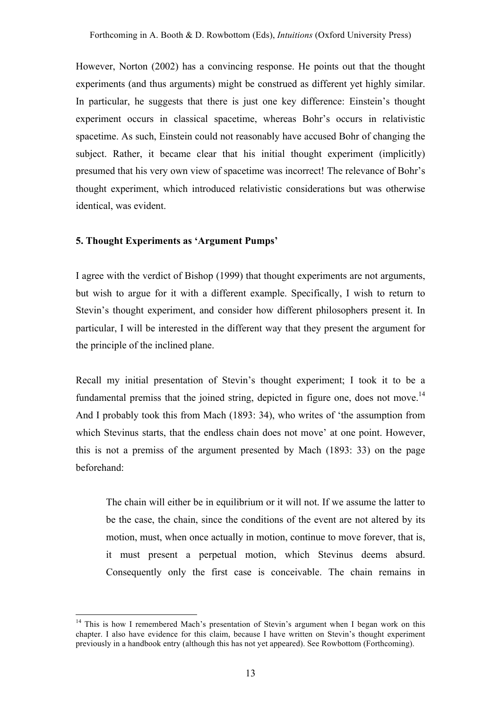However, Norton (2002) has a convincing response. He points out that the thought experiments (and thus arguments) might be construed as different yet highly similar. In particular, he suggests that there is just one key difference: Einstein's thought experiment occurs in classical spacetime, whereas Bohr's occurs in relativistic spacetime. As such, Einstein could not reasonably have accused Bohr of changing the subject. Rather, it became clear that his initial thought experiment (implicitly) presumed that his very own view of spacetime was incorrect! The relevance of Bohr's thought experiment, which introduced relativistic considerations but was otherwise identical, was evident.

# **5. Thought Experiments as 'Argument Pumps'**

I agree with the verdict of Bishop (1999) that thought experiments are not arguments, but wish to argue for it with a different example. Specifically, I wish to return to Stevin's thought experiment, and consider how different philosophers present it. In particular, I will be interested in the different way that they present the argument for the principle of the inclined plane.

Recall my initial presentation of Stevin's thought experiment; I took it to be a fundamental premiss that the joined string, depicted in figure one, does not move.<sup>14</sup> And I probably took this from Mach (1893: 34), who writes of 'the assumption from which Stevinus starts, that the endless chain does not move' at one point. However, this is not a premiss of the argument presented by Mach (1893: 33) on the page beforehand:

The chain will either be in equilibrium or it will not. If we assume the latter to be the case, the chain, since the conditions of the event are not altered by its motion, must, when once actually in motion, continue to move forever, that is, it must present a perpetual motion, which Stevinus deems absurd. Consequently only the first case is conceivable. The chain remains in

<sup>&</sup>lt;sup>14</sup> This is how I remembered Mach's presentation of Stevin's argument when I began work on this chapter. I also have evidence for this claim, because I have written on Stevin's thought experiment previously in a handbook entry (although this has not yet appeared). See Rowbottom (Forthcoming).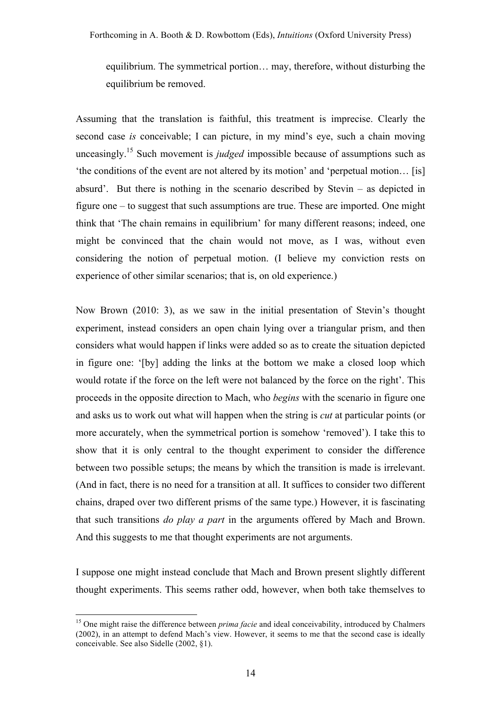equilibrium. The symmetrical portion… may, therefore, without disturbing the equilibrium be removed.

Assuming that the translation is faithful, this treatment is imprecise. Clearly the second case *is* conceivable; I can picture, in my mind's eye, such a chain moving unceasingly.15 Such movement is *judged* impossible because of assumptions such as 'the conditions of the event are not altered by its motion' and 'perpetual motion… [is] absurd'. But there is nothing in the scenario described by Stevin – as depicted in figure one – to suggest that such assumptions are true. These are imported. One might think that 'The chain remains in equilibrium' for many different reasons; indeed, one might be convinced that the chain would not move, as I was, without even considering the notion of perpetual motion. (I believe my conviction rests on experience of other similar scenarios; that is, on old experience.)

Now Brown (2010: 3), as we saw in the initial presentation of Stevin's thought experiment, instead considers an open chain lying over a triangular prism, and then considers what would happen if links were added so as to create the situation depicted in figure one: '[by] adding the links at the bottom we make a closed loop which would rotate if the force on the left were not balanced by the force on the right'. This proceeds in the opposite direction to Mach, who *begins* with the scenario in figure one and asks us to work out what will happen when the string is *cut* at particular points (or more accurately, when the symmetrical portion is somehow 'removed'). I take this to show that it is only central to the thought experiment to consider the difference between two possible setups; the means by which the transition is made is irrelevant. (And in fact, there is no need for a transition at all. It suffices to consider two different chains, draped over two different prisms of the same type.) However, it is fascinating that such transitions *do play a part* in the arguments offered by Mach and Brown. And this suggests to me that thought experiments are not arguments.

I suppose one might instead conclude that Mach and Brown present slightly different thought experiments. This seems rather odd, however, when both take themselves to

<sup>&</sup>lt;sup>15</sup> One might raise the difference between *prima facie* and ideal conceivability, introduced by Chalmers (2002), in an attempt to defend Mach's view. However, it seems to me that the second case is ideally conceivable. See also Sidelle (2002, §1).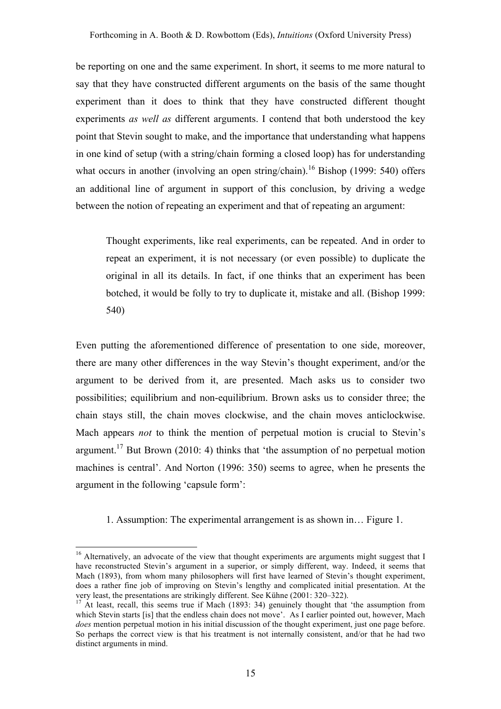be reporting on one and the same experiment. In short, it seems to me more natural to say that they have constructed different arguments on the basis of the same thought experiment than it does to think that they have constructed different thought experiments *as well as* different arguments. I contend that both understood the key point that Stevin sought to make, and the importance that understanding what happens in one kind of setup (with a string/chain forming a closed loop) has for understanding what occurs in another (involving an open string/chain).<sup>16</sup> Bishop (1999: 540) offers an additional line of argument in support of this conclusion, by driving a wedge between the notion of repeating an experiment and that of repeating an argument:

Thought experiments, like real experiments, can be repeated. And in order to repeat an experiment, it is not necessary (or even possible) to duplicate the original in all its details. In fact, if one thinks that an experiment has been botched, it would be folly to try to duplicate it, mistake and all. (Bishop 1999: 540)

Even putting the aforementioned difference of presentation to one side, moreover, there are many other differences in the way Stevin's thought experiment, and/or the argument to be derived from it, are presented. Mach asks us to consider two possibilities; equilibrium and non-equilibrium. Brown asks us to consider three; the chain stays still, the chain moves clockwise, and the chain moves anticlockwise. Mach appears *not* to think the mention of perpetual motion is crucial to Stevin's argument.<sup>17</sup> But Brown (2010: 4) thinks that 'the assumption of no perpetual motion machines is central'. And Norton (1996: 350) seems to agree, when he presents the argument in the following 'capsule form':

1. Assumption: The experimental arrangement is as shown in… Figure 1.

 $16$  Alternatively, an advocate of the view that thought experiments are arguments might suggest that I have reconstructed Stevin's argument in a superior, or simply different, way. Indeed, it seems that Mach (1893), from whom many philosophers will first have learned of Stevin's thought experiment, does a rather fine job of improving on Stevin's lengthy and complicated initial presentation. At the very least, the presentations are strikingly different. See Kühne (2001: 320–322).

<sup>&</sup>lt;sup>17</sup> At least, recall, this seems true if Mach (1893: 34) genuinely thought that 'the assumption from which Stevin starts [is] that the endless chain does not move'. As I earlier pointed out, however, Mach *does* mention perpetual motion in his initial discussion of the thought experiment, just one page before. So perhaps the correct view is that his treatment is not internally consistent, and/or that he had two distinct arguments in mind.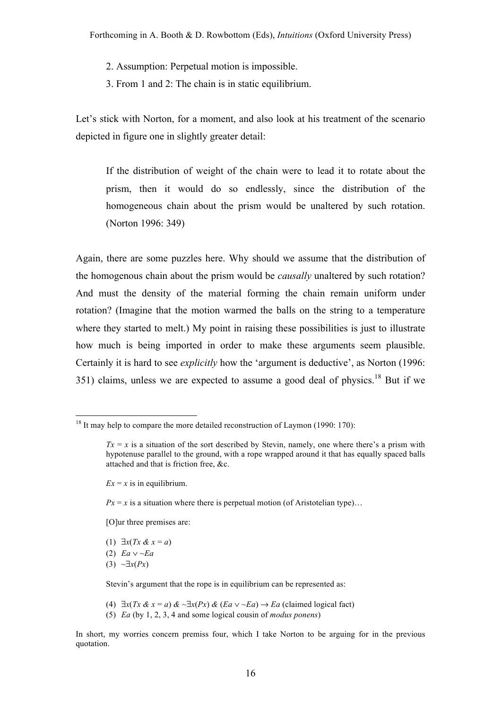- 2. Assumption: Perpetual motion is impossible.
- 3. From 1 and 2: The chain is in static equilibrium.

Let's stick with Norton, for a moment, and also look at his treatment of the scenario depicted in figure one in slightly greater detail:

If the distribution of weight of the chain were to lead it to rotate about the prism, then it would do so endlessly, since the distribution of the homogeneous chain about the prism would be unaltered by such rotation. (Norton 1996: 349)

Again, there are some puzzles here. Why should we assume that the distribution of the homogenous chain about the prism would be *causally* unaltered by such rotation? And must the density of the material forming the chain remain uniform under rotation? (Imagine that the motion warmed the balls on the string to a temperature where they started to melt.) My point in raising these possibilities is just to illustrate how much is being imported in order to make these arguments seem plausible. Certainly it is hard to see *explicitly* how the 'argument is deductive', as Norton (1996: 351) claims, unless we are expected to assume a good deal of physics.<sup>18</sup> But if we

 $Ex = x$  is in equilibrium.

 $Px = x$  is a situation where there is perpetual motion (of Aristotelian type)...

[O]ur three premises are:

- (1)  $∃x(Tx \& x = a)$
- (2) *Ea* ∨ ~*Ea*
- (3) ~∃*x*(*Px*)

Stevin's argument that the rope is in equilibrium can be represented as:

(4)  $\exists x (Tx \& x = a) \& \sim \exists x (Px) \& (Ea \lor \sim Ea) \rightarrow Ea$  (claimed logical fact)

(5) *Ea* (by 1, 2, 3, 4 and some logical cousin of *modus ponens*)

In short, my worries concern premiss four, which I take Norton to be arguing for in the previous quotation.

 $18$  It may help to compare the more detailed reconstruction of Laymon (1990: 170):

 $Tx = x$  is a situation of the sort described by Stevin, namely, one where there's a prism with hypotenuse parallel to the ground, with a rope wrapped around it that has equally spaced balls attached and that is friction free, &c.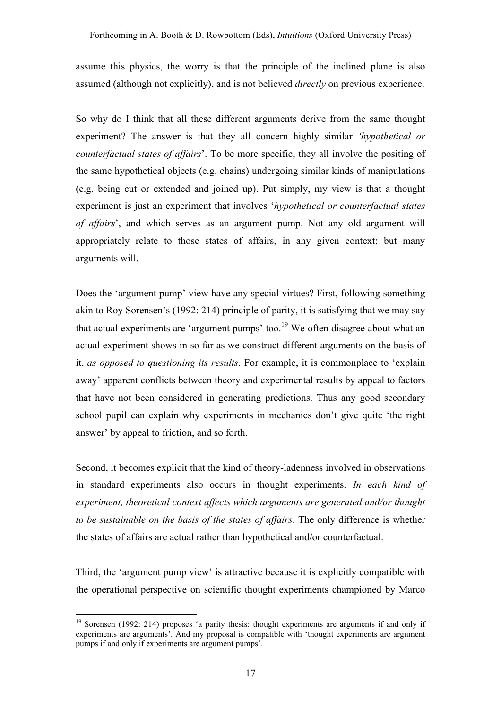assume this physics, the worry is that the principle of the inclined plane is also assumed (although not explicitly), and is not believed *directly* on previous experience.

So why do I think that all these different arguments derive from the same thought experiment? The answer is that they all concern highly similar *'hypothetical or counterfactual states of affairs*'. To be more specific, they all involve the positing of the same hypothetical objects (e.g. chains) undergoing similar kinds of manipulations (e.g. being cut or extended and joined up). Put simply, my view is that a thought experiment is just an experiment that involves '*hypothetical or counterfactual states of affairs*', and which serves as an argument pump. Not any old argument will appropriately relate to those states of affairs, in any given context; but many arguments will.

Does the 'argument pump' view have any special virtues? First, following something akin to Roy Sorensen's (1992: 214) principle of parity, it is satisfying that we may say that actual experiments are 'argument pumps' too.<sup>19</sup> We often disagree about what an actual experiment shows in so far as we construct different arguments on the basis of it, *as opposed to questioning its results*. For example, it is commonplace to 'explain away' apparent conflicts between theory and experimental results by appeal to factors that have not been considered in generating predictions. Thus any good secondary school pupil can explain why experiments in mechanics don't give quite 'the right answer' by appeal to friction, and so forth.

Second, it becomes explicit that the kind of theory-ladenness involved in observations in standard experiments also occurs in thought experiments. *In each kind of experiment, theoretical context affects which arguments are generated and/or thought to be sustainable on the basis of the states of affairs*. The only difference is whether the states of affairs are actual rather than hypothetical and/or counterfactual.

Third, the 'argument pump view' is attractive because it is explicitly compatible with the operational perspective on scientific thought experiments championed by Marco

<sup>&</sup>lt;sup>19</sup> Sorensen (1992: 214) proposes 'a parity thesis: thought experiments are arguments if and only if experiments are arguments'. And my proposal is compatible with 'thought experiments are argument pumps if and only if experiments are argument pumps'.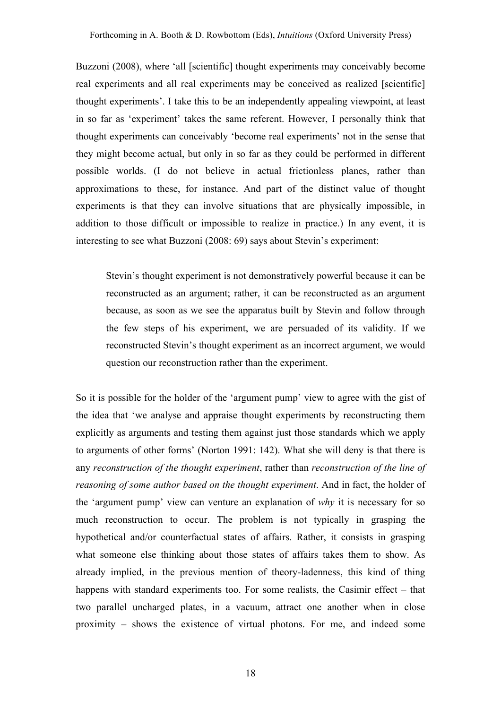Buzzoni (2008), where 'all [scientific] thought experiments may conceivably become real experiments and all real experiments may be conceived as realized [scientific] thought experiments'. I take this to be an independently appealing viewpoint, at least in so far as 'experiment' takes the same referent. However, I personally think that thought experiments can conceivably 'become real experiments' not in the sense that they might become actual, but only in so far as they could be performed in different possible worlds. (I do not believe in actual frictionless planes, rather than approximations to these, for instance. And part of the distinct value of thought experiments is that they can involve situations that are physically impossible, in addition to those difficult or impossible to realize in practice.) In any event, it is interesting to see what Buzzoni (2008: 69) says about Stevin's experiment:

Stevin's thought experiment is not demonstratively powerful because it can be reconstructed as an argument; rather, it can be reconstructed as an argument because, as soon as we see the apparatus built by Stevin and follow through the few steps of his experiment, we are persuaded of its validity. If we reconstructed Stevin's thought experiment as an incorrect argument, we would question our reconstruction rather than the experiment.

So it is possible for the holder of the 'argument pump' view to agree with the gist of the idea that 'we analyse and appraise thought experiments by reconstructing them explicitly as arguments and testing them against just those standards which we apply to arguments of other forms' (Norton 1991: 142). What she will deny is that there is any *reconstruction of the thought experiment*, rather than *reconstruction of the line of reasoning of some author based on the thought experiment*. And in fact, the holder of the 'argument pump' view can venture an explanation of *why* it is necessary for so much reconstruction to occur. The problem is not typically in grasping the hypothetical and/or counterfactual states of affairs. Rather, it consists in grasping what someone else thinking about those states of affairs takes them to show. As already implied, in the previous mention of theory-ladenness, this kind of thing happens with standard experiments too. For some realists, the Casimir effect – that two parallel uncharged plates, in a vacuum, attract one another when in close proximity – shows the existence of virtual photons. For me, and indeed some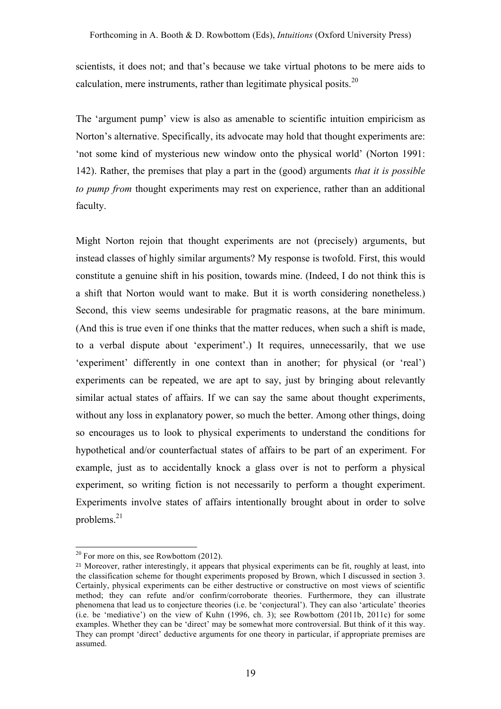scientists, it does not; and that's because we take virtual photons to be mere aids to calculation, mere instruments, rather than legitimate physical posits.<sup>20</sup>

The 'argument pump' view is also as amenable to scientific intuition empiricism as Norton's alternative. Specifically, its advocate may hold that thought experiments are: 'not some kind of mysterious new window onto the physical world' (Norton 1991: 142). Rather, the premises that play a part in the (good) arguments *that it is possible to pump from* thought experiments may rest on experience, rather than an additional faculty.

Might Norton rejoin that thought experiments are not (precisely) arguments, but instead classes of highly similar arguments? My response is twofold. First, this would constitute a genuine shift in his position, towards mine. (Indeed, I do not think this is a shift that Norton would want to make. But it is worth considering nonetheless.) Second, this view seems undesirable for pragmatic reasons, at the bare minimum. (And this is true even if one thinks that the matter reduces, when such a shift is made, to a verbal dispute about 'experiment'.) It requires, unnecessarily, that we use 'experiment' differently in one context than in another; for physical (or 'real') experiments can be repeated, we are apt to say, just by bringing about relevantly similar actual states of affairs. If we can say the same about thought experiments, without any loss in explanatory power, so much the better. Among other things, doing so encourages us to look to physical experiments to understand the conditions for hypothetical and/or counterfactual states of affairs to be part of an experiment. For example, just as to accidentally knock a glass over is not to perform a physical experiment, so writing fiction is not necessarily to perform a thought experiment. Experiments involve states of affairs intentionally brought about in order to solve problems. 21

 $20$  For more on this, see Rowbottom (2012).

<sup>21</sup> Moreover, rather interestingly, it appears that physical experiments can be fit, roughly at least, into the classification scheme for thought experiments proposed by Brown, which I discussed in section 3. Certainly, physical experiments can be either destructive or constructive on most views of scientific method; they can refute and/or confirm/corroborate theories. Furthermore, they can illustrate phenomena that lead us to conjecture theories (i.e. be 'conjectural'). They can also 'articulate' theories (i.e. be 'mediative') on the view of Kuhn (1996, ch. 3); see Rowbottom (2011b, 2011c) for some examples. Whether they can be 'direct' may be somewhat more controversial. But think of it this way. They can prompt 'direct' deductive arguments for one theory in particular, if appropriate premises are assumed.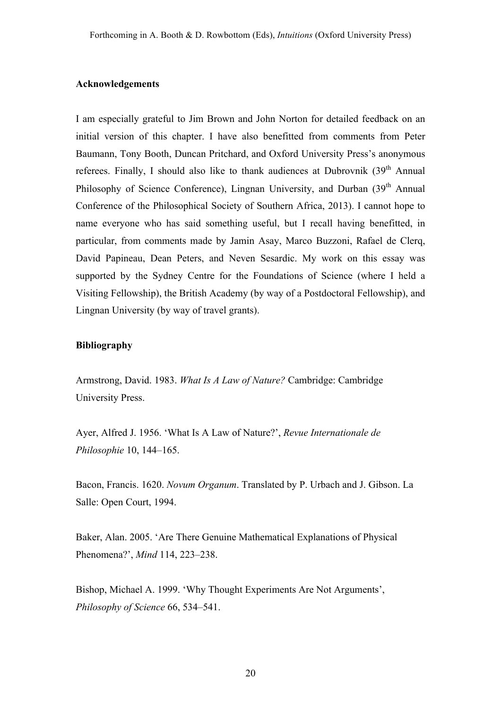#### **Acknowledgements**

I am especially grateful to Jim Brown and John Norton for detailed feedback on an initial version of this chapter. I have also benefitted from comments from Peter Baumann, Tony Booth, Duncan Pritchard, and Oxford University Press's anonymous referees. Finally, I should also like to thank audiences at Dubrovnik (39<sup>th</sup> Annual Philosophy of Science Conference), Lingnan University, and Durban (39<sup>th</sup> Annual Conference of the Philosophical Society of Southern Africa, 2013). I cannot hope to name everyone who has said something useful, but I recall having benefitted, in particular, from comments made by Jamin Asay, Marco Buzzoni, Rafael de Clerq, David Papineau, Dean Peters, and Neven Sesardic. My work on this essay was supported by the Sydney Centre for the Foundations of Science (where I held a Visiting Fellowship), the British Academy (by way of a Postdoctoral Fellowship), and Lingnan University (by way of travel grants).

## **Bibliography**

Armstrong, David. 1983. *What Is A Law of Nature?* Cambridge: Cambridge University Press.

Ayer, Alfred J. 1956. 'What Is A Law of Nature?', *Revue Internationale de Philosophie* 10, 144–165.

Bacon, Francis. 1620. *Novum Organum*. Translated by P. Urbach and J. Gibson. La Salle: Open Court, 1994.

Baker, Alan. 2005. 'Are There Genuine Mathematical Explanations of Physical Phenomena?', *Mind* 114, 223–238.

Bishop, Michael A. 1999. 'Why Thought Experiments Are Not Arguments', *Philosophy of Science* 66, 534–541.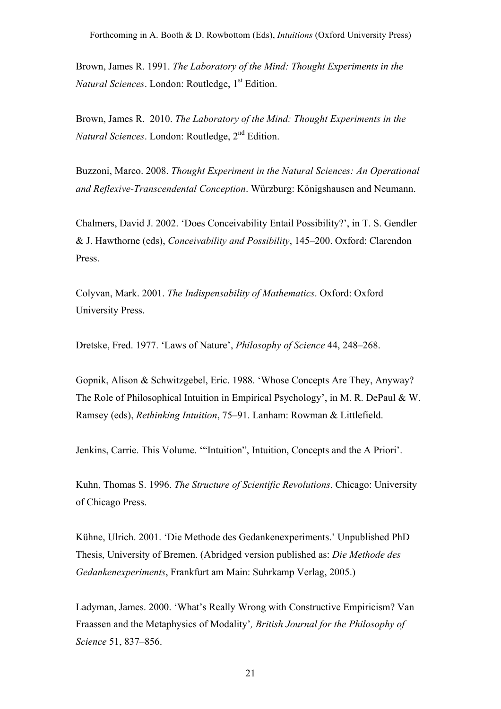Brown, James R. 1991. *The Laboratory of the Mind: Thought Experiments in the Natural Sciences.* London: Routledge, 1<sup>st</sup> Edition.

Brown, James R. 2010. *The Laboratory of the Mind: Thought Experiments in the Natural Sciences*. London: Routledge, 2nd Edition.

Buzzoni, Marco. 2008. *Thought Experiment in the Natural Sciences: An Operational and Reflexive-Transcendental Conception*. Würzburg: Königshausen and Neumann.

Chalmers, David J. 2002. 'Does Conceivability Entail Possibility?', in T. S. Gendler & J. Hawthorne (eds), *Conceivability and Possibility*, 145–200. Oxford: Clarendon Press.

Colyvan, Mark. 2001. *The Indispensability of Mathematics*. Oxford: Oxford University Press.

Dretske, Fred. 1977. 'Laws of Nature', *Philosophy of Science* 44, 248–268.

Gopnik, Alison & Schwitzgebel, Eric. 1988. 'Whose Concepts Are They, Anyway? The Role of Philosophical Intuition in Empirical Psychology', in M. R. DePaul & W. Ramsey (eds), *Rethinking Intuition*, 75–91. Lanham: Rowman & Littlefield.

Jenkins, Carrie. This Volume. '"Intuition", Intuition, Concepts and the A Priori'.

Kuhn, Thomas S. 1996. *The Structure of Scientific Revolutions*. Chicago: University of Chicago Press.

Kühne, Ulrich. 2001. 'Die Methode des Gedankenexperiments.' Unpublished PhD Thesis, University of Bremen. (Abridged version published as: *Die Methode des Gedankenexperiments*, Frankfurt am Main: Suhrkamp Verlag, 2005.)

Ladyman, James. 2000. 'What's Really Wrong with Constructive Empiricism? Van Fraassen and the Metaphysics of Modality'*, British Journal for the Philosophy of Science* 51, 837–856.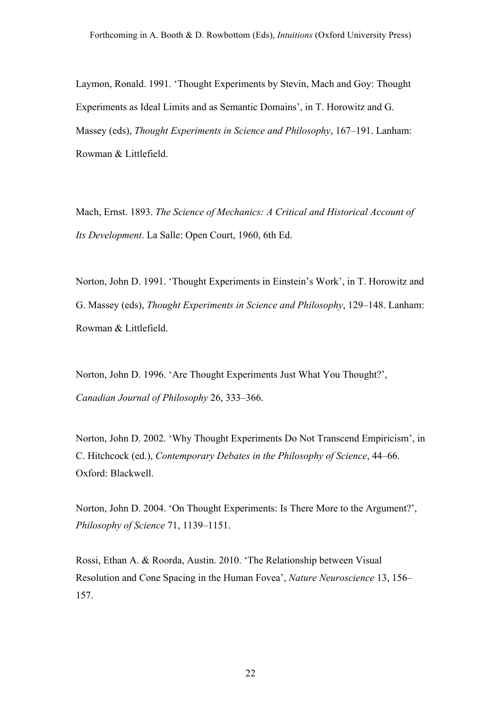Laymon, Ronald. 1991. 'Thought Experiments by Stevin, Mach and Goy: Thought Experiments as Ideal Limits and as Semantic Domains', in T. Horowitz and G. Massey (eds), *Thought Experiments in Science and Philosophy*, 167–191. Lanham: Rowman & Littlefield.

Mach, Ernst. 1893. *The Science of Mechanics: A Critical and Historical Account of Its Development*. La Salle: Open Court, 1960, 6th Ed.

Norton, John D. 1991. 'Thought Experiments in Einstein's Work', in T. Horowitz and G. Massey (eds), *Thought Experiments in Science and Philosophy*, 129–148. Lanham: Rowman & Littlefield.

Norton, John D. 1996. 'Are Thought Experiments Just What You Thought?', *Canadian Journal of Philosophy* 26, 333–366.

Norton, John D. 2002. 'Why Thought Experiments Do Not Transcend Empiricism', in C. Hitchcock (ed.), *Contemporary Debates in the Philosophy of Science*, 44–66. Oxford: Blackwell.

Norton, John D. 2004. 'On Thought Experiments: Is There More to the Argument?', *Philosophy of Science* 71, 1139–1151.

Rossi, Ethan A. & Roorda, Austin. 2010. 'The Relationship between Visual Resolution and Cone Spacing in the Human Fovea', *Nature Neuroscience* 13, 156– 157.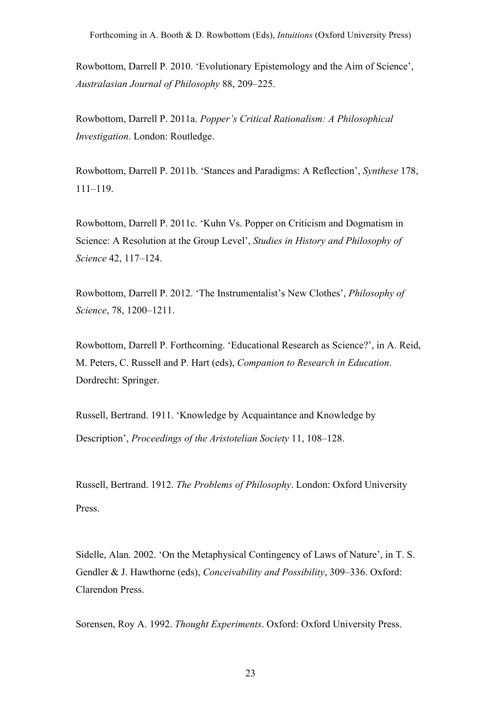Rowbottom, Darrell P. 2010. 'Evolutionary Epistemology and the Aim of Science', *Australasian Journal of Philosophy* 88, 209–225.

Rowbottom, Darrell P. 2011a. *Popper's Critical Rationalism: A Philosophical Investigation*. London: Routledge.

Rowbottom, Darrell P. 2011b. 'Stances and Paradigms: A Reflection', *Synthese* 178, 111–119.

Rowbottom, Darrell P. 2011c. 'Kuhn Vs. Popper on Criticism and Dogmatism in Science: A Resolution at the Group Level', *Studies in History and Philosophy of Science* 42, 117–124.

Rowbottom, Darrell P. 2012. 'The Instrumentalist's New Clothes', *Philosophy of Science*, 78, 1200–1211.

Rowbottom, Darrell P. Forthcoming. 'Educational Research as Science?', in A. Reid, M. Peters, C. Russell and P. Hart (eds), *Companion to Research in Education*. Dordrecht: Springer.

Russell, Bertrand. 1911. 'Knowledge by Acquaintance and Knowledge by Description', *Proceedings of the Aristotelian Society* 11, 108–128.

Russell, Bertrand. 1912. *The Problems of Philosophy*. London: Oxford University Press.

Sidelle, Alan. 2002. 'On the Metaphysical Contingency of Laws of Nature', in T. S. Gendler & J. Hawthorne (eds), *Conceivability and Possibility*, 309–336. Oxford: Clarendon Press.

Sorensen, Roy A. 1992. *Thought Experiments*. Oxford: Oxford University Press.